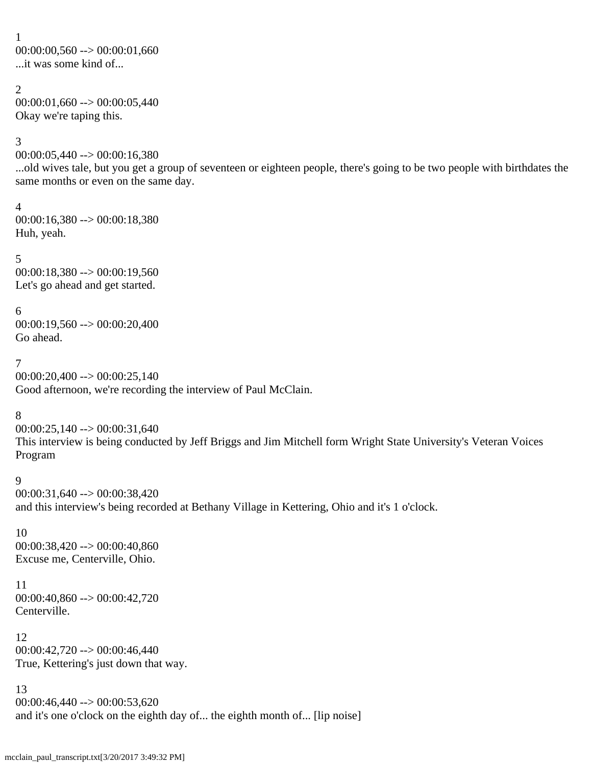```
1
00:00:00,560 \rightarrow 00:00:01,660...it was some kind of...
```
#### 2  $00:00:01,660 \rightarrow 00:00:05,440$ Okay we're taping this.

# 3

00:00:05,440 --> 00:00:16,380

...old wives tale, but you get a group of seventeen or eighteen people, there's going to be two people with birthdates the same months or even on the same day.

# 4

00:00:16,380 --> 00:00:18,380 Huh, yeah.

5 00:00:18,380 --> 00:00:19,560 Let's go ahead and get started.

# 6

00:00:19,560 --> 00:00:20,400 Go ahead.

# 7

00:00:20,400 --> 00:00:25,140 Good afternoon, we're recording the interview of Paul McClain.

# 8

00:00:25,140 --> 00:00:31,640 This interview is being conducted by Jeff Briggs and Jim Mitchell form Wright State University's Veteran Voices Program

# 9

00:00:31,640 --> 00:00:38,420 and this interview's being recorded at Bethany Village in Kettering, Ohio and it's 1 o'clock.

# 10

00:00:38,420 --> 00:00:40,860 Excuse me, Centerville, Ohio.

# 11

00:00:40,860 --> 00:00:42,720 Centerville.

# 12

00:00:42,720 --> 00:00:46,440 True, Kettering's just down that way.

13

 $00:00:46,440 \rightarrow 00:00:53,620$ and it's one o'clock on the eighth day of... the eighth month of... [lip noise]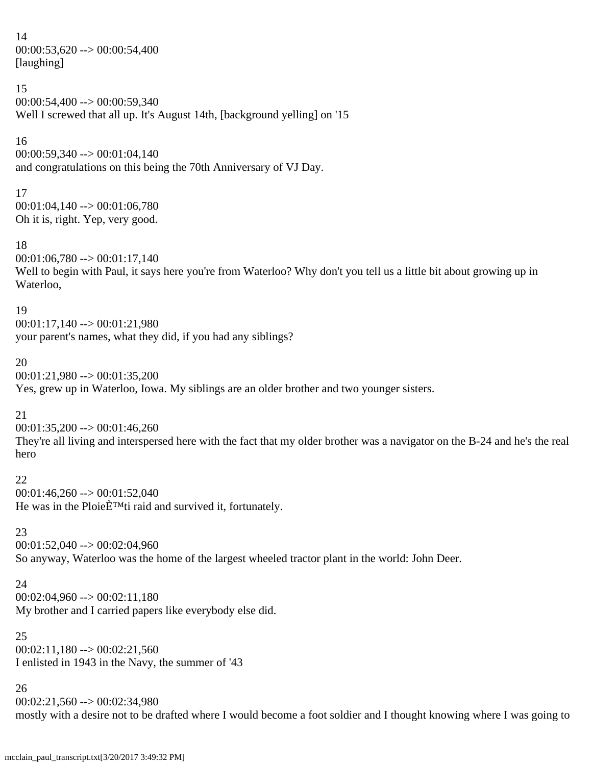14  $00:00:53,620 \rightarrow 00:00:54,400$ [laughing]

15 00:00:54,400 --> 00:00:59,340 Well I screwed that all up. It's August 14th, [background yelling] on '15

16

00:00:59,340 --> 00:01:04,140 and congratulations on this being the 70th Anniversary of VJ Day.

17 00:01:04,140 --> 00:01:06,780 Oh it is, right. Yep, very good.

18

 $00:01:06,780 \rightarrow 00:01:17,140$ Well to begin with Paul, it says here you're from Waterloo? Why don't you tell us a little bit about growing up in Waterloo,

19

00:01:17,140 --> 00:01:21,980 your parent's names, what they did, if you had any siblings?

20

 $00:01:21,980 \rightarrow 00:01:35,200$ 

Yes, grew up in Waterloo, Iowa. My siblings are an older brother and two younger sisters.

21

 $00:01:35,200 \rightarrow 00:01:46,260$ 

They're all living and interspersed here with the fact that my older brother was a navigator on the B-24 and he's the real hero

22

 $00:01:46,260 \rightarrow 00:01:52,040$ He was in the Ploie $\hat{E}^{TM}$ ti raid and survived it, fortunately.

23

 $00:01:52,040 \rightarrow 00:02:04,960$ So anyway, Waterloo was the home of the largest wheeled tractor plant in the world: John Deer.

24

 $00:02:04,960 \rightarrow 00:02:11,180$ My brother and I carried papers like everybody else did.

25  $00:02:11,180 \rightarrow 00:02:21,560$ I enlisted in 1943 in the Navy, the summer of '43

26 00:02:21,560 --> 00:02:34,980 mostly with a desire not to be drafted where I would become a foot soldier and I thought knowing where I was going to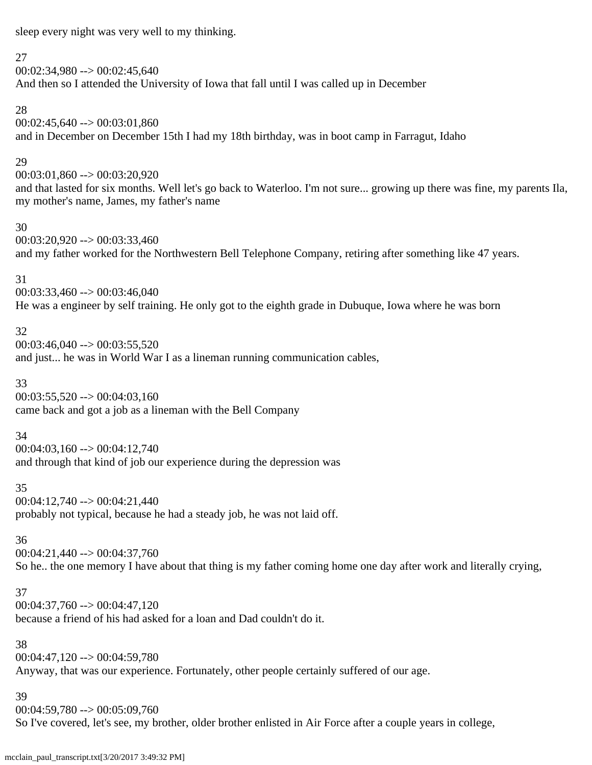sleep every night was very well to my thinking.

#### 27

 $00:02:34,980 \rightarrow 00:02:45,640$ And then so I attended the University of Iowa that fall until I was called up in December

#### 28

 $00:02:45,640 \rightarrow 00:03:01,860$ and in December on December 15th I had my 18th birthday, was in boot camp in Farragut, Idaho

#### 29

00:03:01,860 --> 00:03:20,920 and that lasted for six months. Well let's go back to Waterloo. I'm not sure... growing up there was fine, my parents Ila, my mother's name, James, my father's name

#### 30

 $00:03:20,920 \rightarrow 00:03:33,460$ and my father worked for the Northwestern Bell Telephone Company, retiring after something like 47 years.

# 31

 $00:03:33,460 \rightarrow 00:03:46,040$ He was a engineer by self training. He only got to the eighth grade in Dubuque, Iowa where he was born

# 32

 $00:03:46,040 \rightarrow 00:03:55,520$ and just... he was in World War I as a lineman running communication cables,

#### 33

 $00:03:55,520 \rightarrow 00:04:03,160$ came back and got a job as a lineman with the Bell Company

#### 34

 $00:04:03,160 \rightarrow 00:04:12,740$ and through that kind of job our experience during the depression was

#### 35

00:04:12,740 --> 00:04:21,440 probably not typical, because he had a steady job, he was not laid off.

#### 36

00:04:21,440 --> 00:04:37,760

So he.. the one memory I have about that thing is my father coming home one day after work and literally crying,

#### 37

 $00:04:37,760 \rightarrow 00:04:47,120$ because a friend of his had asked for a loan and Dad couldn't do it.

#### 38

 $00:04:47,120 \rightarrow 00:04:59,780$ Anyway, that was our experience. Fortunately, other people certainly suffered of our age.

#### 39

 $00:04:59,780 \rightarrow 00:05:09,760$ So I've covered, let's see, my brother, older brother enlisted in Air Force after a couple years in college,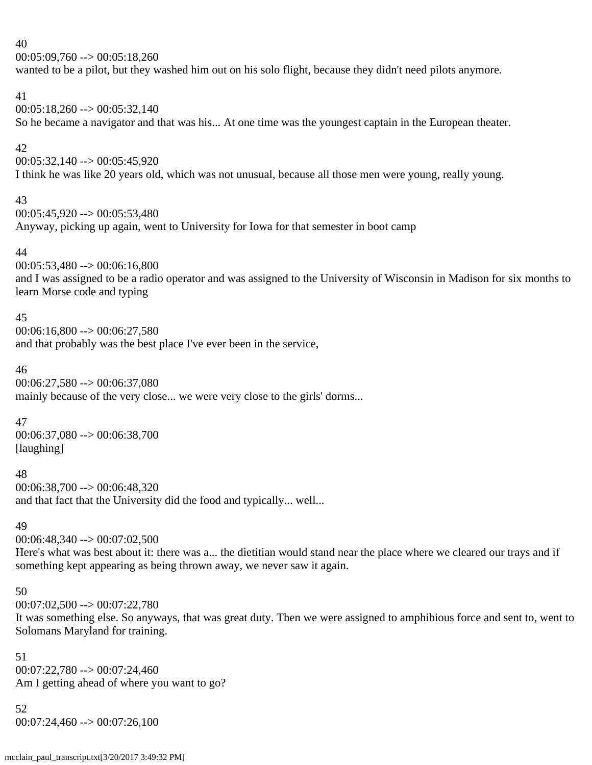$00:05:09,760 \rightarrow 00:05:18,260$ 

wanted to be a pilot, but they washed him out on his solo flight, because they didn't need pilots anymore.

#### 41

 $00:05:18,260 \rightarrow 00:05:32,140$ So he became a navigator and that was his... At one time was the youngest captain in the European theater.

#### 42

 $00:05:32,140 \rightarrow 00:05:45,920$ I think he was like 20 years old, which was not unusual, because all those men were young, really young.

#### 43

 $00:05:45,920 \rightarrow 00:05:53,480$ Anyway, picking up again, went to University for Iowa for that semester in boot camp

# 44

00:05:53,480 --> 00:06:16,800

and I was assigned to be a radio operator and was assigned to the University of Wisconsin in Madison for six months to learn Morse code and typing

#### 45

 $00:06:16,800 \rightarrow 00:06:27,580$ 

and that probably was the best place I've ever been in the service,

#### 46

00:06:27,580 --> 00:06:37,080 mainly because of the very close... we were very close to the girls' dorms...

#### 47

00:06:37,080 --> 00:06:38,700 [laughing]

#### 48

00:06:38,700 --> 00:06:48,320 and that fact that the University did the food and typically... well...

#### 49

00:06:48,340 --> 00:07:02,500

Here's what was best about it: there was a... the dietitian would stand near the place where we cleared our trays and if something kept appearing as being thrown away, we never saw it again.

#### 50

00:07:02,500 --> 00:07:22,780

It was something else. So anyways, that was great duty. Then we were assigned to amphibious force and sent to, went to Solomans Maryland for training.

```
51
00:07:22,780 \rightarrow 00:07:24,460Am I getting ahead of where you want to go?
```
52 00:07:24,460 --> 00:07:26,100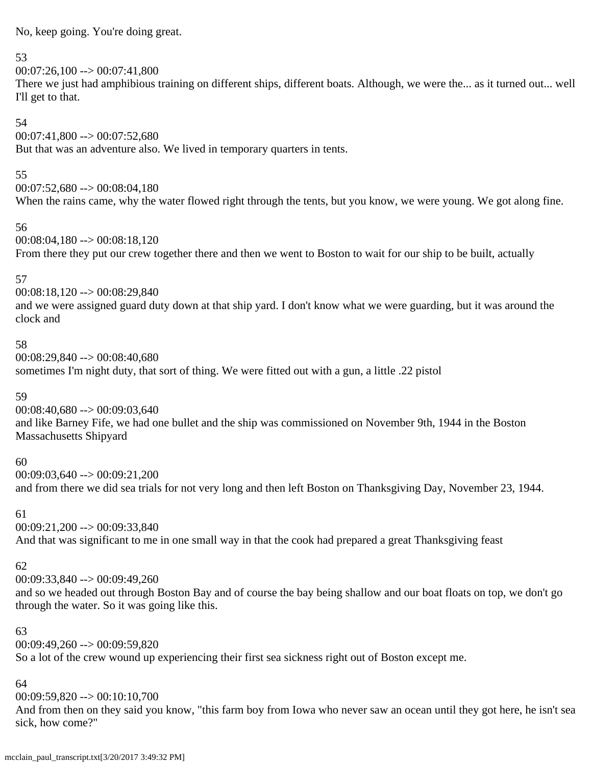No, keep going. You're doing great.

#### 53

#### 00:07:26,100 --> 00:07:41,800

There we just had amphibious training on different ships, different boats. Although, we were the... as it turned out... well I'll get to that.

#### 54

# 00:07:41,800 --> 00:07:52,680

But that was an adventure also. We lived in temporary quarters in tents.

#### 55

 $00:07:52,680 \rightarrow 00:08:04,180$ When the rains came, why the water flowed right through the tents, but you know, we were young. We got along fine.

#### 56

00:08:04,180 --> 00:08:18,120 From there they put our crew together there and then we went to Boston to wait for our ship to be built, actually

# 57

00:08:18,120 --> 00:08:29,840 and we were assigned guard duty down at that ship yard. I don't know what we were guarding, but it was around the clock and

#### 58

00:08:29,840 --> 00:08:40,680 sometimes I'm night duty, that sort of thing. We were fitted out with a gun, a little .22 pistol

#### 59

 $00:08:40,680 \rightarrow 00:09:03,640$ and like Barney Fife, we had one bullet and the ship was commissioned on November 9th, 1944 in the Boston Massachusetts Shipyard

#### 60

00:09:03,640 --> 00:09:21,200 and from there we did sea trials for not very long and then left Boston on Thanksgiving Day, November 23, 1944.

#### 61

00:09:21,200 --> 00:09:33,840 And that was significant to me in one small way in that the cook had prepared a great Thanksgiving feast

# 62

00:09:33,840 --> 00:09:49,260

and so we headed out through Boston Bay and of course the bay being shallow and our boat floats on top, we don't go through the water. So it was going like this.

#### 63

 $00:09:49.260 \rightarrow 00:09:59.820$ So a lot of the crew wound up experiencing their first sea sickness right out of Boston except me.

#### 64

00:09:59,820 --> 00:10:10,700

And from then on they said you know, "this farm boy from Iowa who never saw an ocean until they got here, he isn't sea sick, how come?"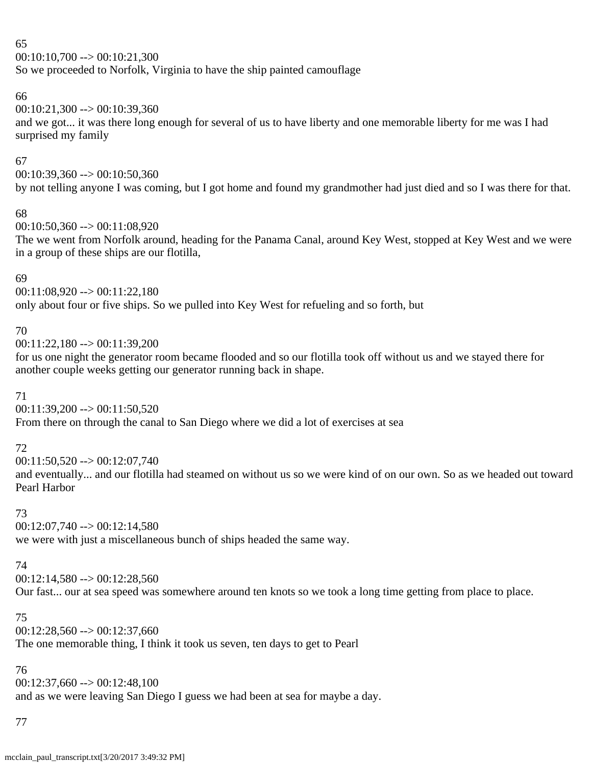$00:10:10,700 \rightarrow 00:10:21,300$ 

So we proceeded to Norfolk, Virginia to have the ship painted camouflage

# 66

 $00:10:21,300 \rightarrow 00:10:39,360$ 

and we got... it was there long enough for several of us to have liberty and one memorable liberty for me was I had surprised my family

# 67

00:10:39,360 --> 00:10:50,360 by not telling anyone I was coming, but I got home and found my grandmother had just died and so I was there for that.

#### 68

00:10:50,360 --> 00:11:08,920

The we went from Norfolk around, heading for the Panama Canal, around Key West, stopped at Key West and we were in a group of these ships are our flotilla,

#### 69

00:11:08,920 --> 00:11:22,180 only about four or five ships. So we pulled into Key West for refueling and so forth, but

#### 70

00:11:22,180 --> 00:11:39,200

for us one night the generator room became flooded and so our flotilla took off without us and we stayed there for another couple weeks getting our generator running back in shape.

#### 71

00:11:39,200 --> 00:11:50,520

From there on through the canal to San Diego where we did a lot of exercises at sea

# 72

00:11:50,520 --> 00:12:07,740

and eventually... and our flotilla had steamed on without us so we were kind of on our own. So as we headed out toward Pearl Harbor

#### 73

 $00:12:07,740 \rightarrow 00:12:14,580$ 

we were with just a miscellaneous bunch of ships headed the same way.

# 74

 $00:12:14,580 \rightarrow 00:12:28,560$ 

Our fast... our at sea speed was somewhere around ten knots so we took a long time getting from place to place.

# 75

 $00:12:28,560 \rightarrow 00:12:37,660$ The one memorable thing, I think it took us seven, ten days to get to Pearl

# 76

00:12:37,660 --> 00:12:48,100 and as we were leaving San Diego I guess we had been at sea for maybe a day.

#### 77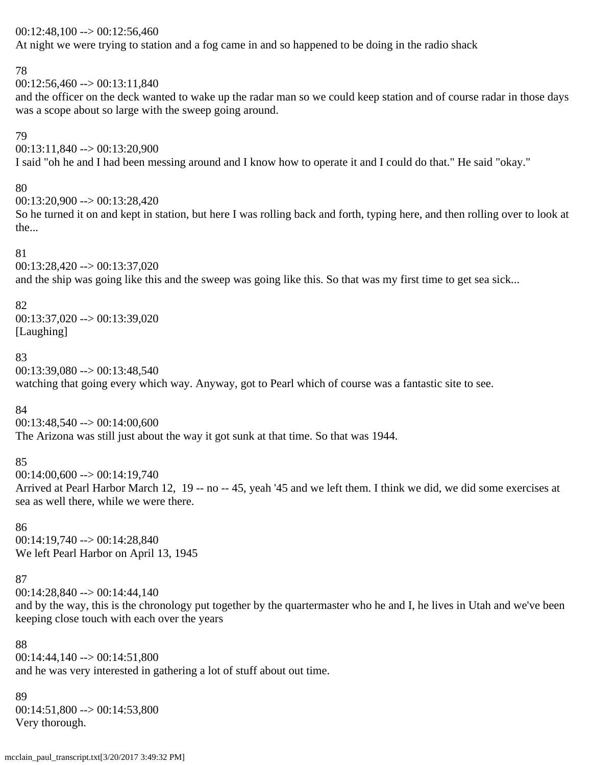#### $00:12:48,100 \rightarrow 00:12:56,460$

At night we were trying to station and a fog came in and so happened to be doing in the radio shack

#### 78

 $00:12:56,460 \rightarrow 00:13:11,840$ 

and the officer on the deck wanted to wake up the radar man so we could keep station and of course radar in those days was a scope about so large with the sweep going around.

#### 79

00:13:11,840 --> 00:13:20,900 I said "oh he and I had been messing around and I know how to operate it and I could do that." He said "okay."

#### 80

00:13:20,900 --> 00:13:28,420

So he turned it on and kept in station, but here I was rolling back and forth, typing here, and then rolling over to look at the...

#### 81

00:13:28,420 --> 00:13:37,020 and the ship was going like this and the sweep was going like this. So that was my first time to get sea sick...

#### 82

00:13:37,020 --> 00:13:39,020 [Laughing]

#### 83

 $00:13:39,080 \rightarrow 00:13:48,540$ 

watching that going every which way. Anyway, got to Pearl which of course was a fantastic site to see.

#### 84

 $00:13:48,540 \rightarrow 00:14:00,600$ The Arizona was still just about the way it got sunk at that time. So that was 1944.

#### 85

 $00:14:00,600 \rightarrow 00:14:19,740$ Arrived at Pearl Harbor March 12, 19 -- no -- 45, yeah '45 and we left them. I think we did, we did some exercises at sea as well there, while we were there.

86 00:14:19,740 --> 00:14:28,840 We left Pearl Harbor on April 13, 1945

#### 87

00:14:28,840 --> 00:14:44,140

and by the way, this is the chronology put together by the quartermaster who he and I, he lives in Utah and we've been keeping close touch with each over the years

88 00:14:44,140 --> 00:14:51,800 and he was very interested in gathering a lot of stuff about out time.

#### 89  $00:14:51,800 \rightarrow 00:14:53,800$ Very thorough.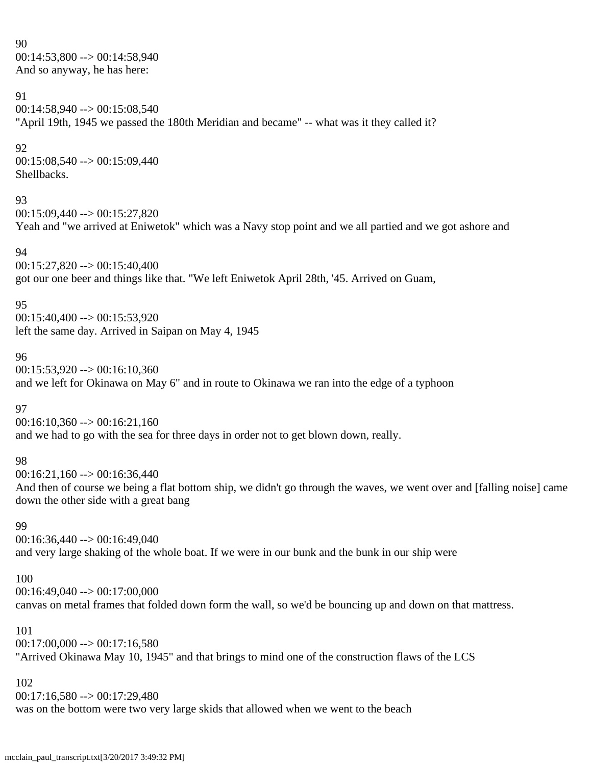90  $00:14:53,800 \rightarrow 00:14:58,940$ And so anyway, he has here:

#### 91

00:14:58,940 --> 00:15:08,540 "April 19th, 1945 we passed the 180th Meridian and became" -- what was it they called it?

#### 92

00:15:08,540 --> 00:15:09,440 Shellbacks.

#### 93

00:15:09,440 --> 00:15:27,820 Yeah and "we arrived at Eniwetok" which was a Navy stop point and we all partied and we got ashore and

#### 94

00:15:27,820 --> 00:15:40,400 got our one beer and things like that. "We left Eniwetok April 28th, '45. Arrived on Guam,

#### 95

 $00:15:40,400 \rightarrow 00:15:53,920$ left the same day. Arrived in Saipan on May 4, 1945

#### 96

 $00:15:53,920 \rightarrow 00:16:10,360$ and we left for Okinawa on May 6" and in route to Okinawa we ran into the edge of a typhoon

# 97

 $00:16:10,360 \rightarrow 00:16:21,160$ and we had to go with the sea for three days in order not to get blown down, really.

#### 98

 $00:16:21,160 \rightarrow 00:16:36,440$ 

And then of course we being a flat bottom ship, we didn't go through the waves, we went over and [falling noise] came down the other side with a great bang

#### 99

00:16:36,440 --> 00:16:49,040 and very large shaking of the whole boat. If we were in our bunk and the bunk in our ship were

#### 100

00:16:49,040 --> 00:17:00,000 canvas on metal frames that folded down form the wall, so we'd be bouncing up and down on that mattress.

#### 101

 $00:17:00,000 \rightarrow 00:17:16,580$ "Arrived Okinawa May 10, 1945" and that brings to mind one of the construction flaws of the LCS

#### 102

00:17:16,580 --> 00:17:29,480 was on the bottom were two very large skids that allowed when we went to the beach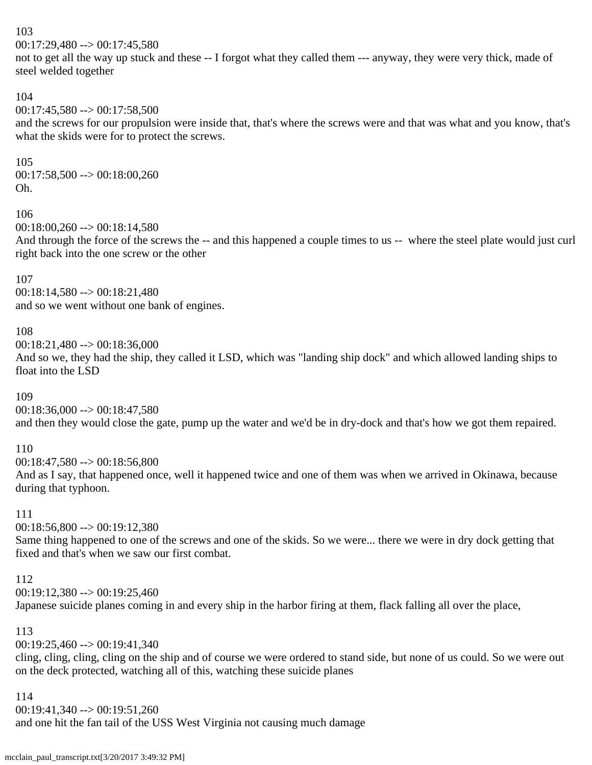$00:17:29,480 \rightarrow 00:17:45,580$ 

not to get all the way up stuck and these -- I forgot what they called them --- anyway, they were very thick, made of steel welded together

#### 104

# $00:17:45,580 \rightarrow 00:17:58,500$

and the screws for our propulsion were inside that, that's where the screws were and that was what and you know, that's what the skids were for to protect the screws.

#### 105

00:17:58,500 --> 00:18:00,260 Oh.

#### 106

 $00:18:00,260 \rightarrow 00:18:14,580$ 

And through the force of the screws the -- and this happened a couple times to us -- where the steel plate would just curl right back into the one screw or the other

#### 107

00:18:14,580 --> 00:18:21,480 and so we went without one bank of engines.

#### 108

00:18:21,480 --> 00:18:36,000

And so we, they had the ship, they called it LSD, which was "landing ship dock" and which allowed landing ships to float into the LSD

#### 109

 $00:18:36,000 \rightarrow 00:18:47,580$ 

and then they would close the gate, pump up the water and we'd be in dry-dock and that's how we got them repaired.

#### 110

00:18:47,580 --> 00:18:56,800

And as I say, that happened once, well it happened twice and one of them was when we arrived in Okinawa, because during that typhoon.

#### 111

00:18:56,800 --> 00:19:12,380

Same thing happened to one of the screws and one of the skids. So we were... there we were in dry dock getting that fixed and that's when we saw our first combat.

#### 112

 $00:19:12,380 \rightarrow 00:19:25,460$ 

Japanese suicide planes coming in and every ship in the harbor firing at them, flack falling all over the place,

#### 113

00:19:25,460 --> 00:19:41,340

cling, cling, cling, cling on the ship and of course we were ordered to stand side, but none of us could. So we were out on the deck protected, watching all of this, watching these suicide planes

#### 114

00:19:41,340 --> 00:19:51,260

and one hit the fan tail of the USS West Virginia not causing much damage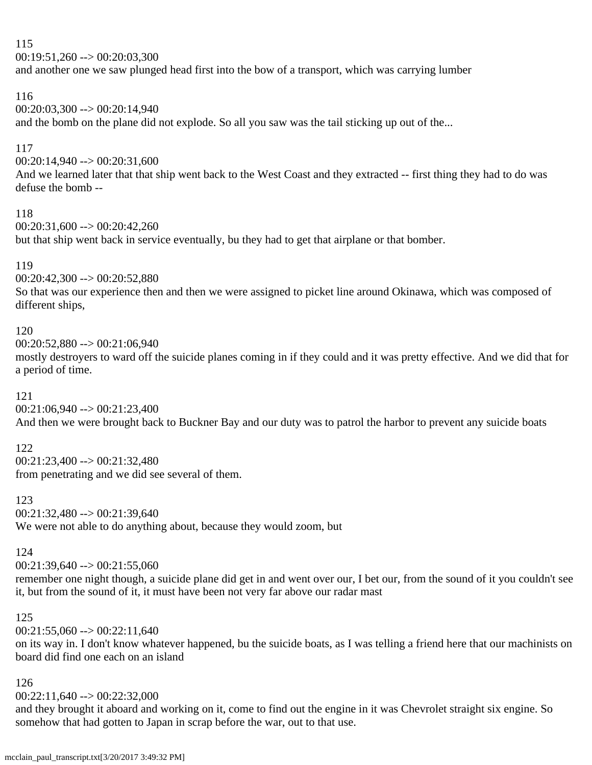$00:19:51,260 \rightarrow 00:20:03,300$ 

and another one we saw plunged head first into the bow of a transport, which was carrying lumber

#### 116

 $00:20:03,300 \rightarrow 00:20:14,940$ 

and the bomb on the plane did not explode. So all you saw was the tail sticking up out of the...

#### 117

 $00:20:14,940 \rightarrow 00:20:31,600$ 

And we learned later that that ship went back to the West Coast and they extracted -- first thing they had to do was defuse the bomb --

#### 118

 $00:20:31,600 \rightarrow 00:20:42,260$ 

but that ship went back in service eventually, bu they had to get that airplane or that bomber.

#### 119

00:20:42,300 --> 00:20:52,880

So that was our experience then and then we were assigned to picket line around Okinawa, which was composed of different ships,

#### 120

 $00:20:52,880 \rightarrow 00:21:06,940$ 

mostly destroyers to ward off the suicide planes coming in if they could and it was pretty effective. And we did that for a period of time.

#### 121

00:21:06,940 --> 00:21:23,400

And then we were brought back to Buckner Bay and our duty was to patrol the harbor to prevent any suicide boats

#### 122

00:21:23,400 --> 00:21:32,480 from penetrating and we did see several of them.

123 00:21:32,480 --> 00:21:39,640 We were not able to do anything about, because they would zoom, but

#### 124

 $00:21:39,640 \rightarrow 00:21:55,060$ 

remember one night though, a suicide plane did get in and went over our, I bet our, from the sound of it you couldn't see it, but from the sound of it, it must have been not very far above our radar mast

#### 125

 $00:21:55,060 \rightarrow 00:22:11,640$ 

on its way in. I don't know whatever happened, bu the suicide boats, as I was telling a friend here that our machinists on board did find one each on an island

#### 126

00:22:11,640 --> 00:22:32,000

and they brought it aboard and working on it, come to find out the engine in it was Chevrolet straight six engine. So somehow that had gotten to Japan in scrap before the war, out to that use.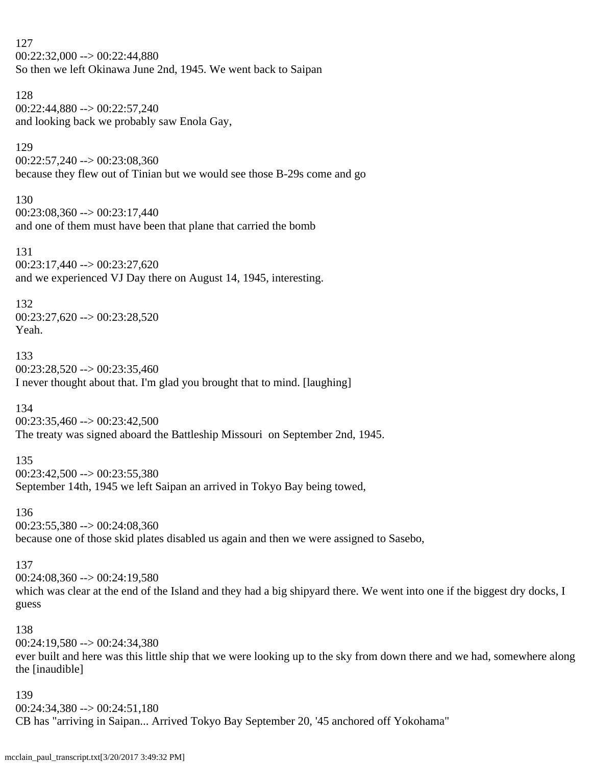127  $00:22:32:000 \rightarrow 00:22:44.880$ So then we left Okinawa June 2nd, 1945. We went back to Saipan

128 00:22:44,880 --> 00:22:57,240 and looking back we probably saw Enola Gay,

#### 129

00:22:57,240 --> 00:23:08,360 because they flew out of Tinian but we would see those B-29s come and go

130

 $00:23:08,360 \rightarrow 00:23:17,440$ and one of them must have been that plane that carried the bomb

131 00:23:17,440 --> 00:23:27,620 and we experienced VJ Day there on August 14, 1945, interesting.

132

00:23:27,620 --> 00:23:28,520 Yeah.

133  $00:23:28,520 \rightarrow 00:23:35,460$ I never thought about that. I'm glad you brought that to mind. [laughing]

134

 $00:23:35,460 \rightarrow 00:23:42,500$ The treaty was signed aboard the Battleship Missouri on September 2nd, 1945.

135

 $00:23:42,500 \rightarrow 00:23:55,380$ September 14th, 1945 we left Saipan an arrived in Tokyo Bay being towed,

136

00:23:55,380 --> 00:24:08,360

because one of those skid plates disabled us again and then we were assigned to Sasebo,

#### 137

 $00:24:08,360 \rightarrow 00:24:19,580$ which was clear at the end of the Island and they had a big shipyard there. We went into one if the biggest dry docks, I guess

138

00:24:19,580 --> 00:24:34,380 ever built and here was this little ship that we were looking up to the sky from down there and we had, somewhere along the [inaudible]

139

 $00:24:34,380 \rightarrow 00:24:51,180$ 

CB has "arriving in Saipan... Arrived Tokyo Bay September 20, '45 anchored off Yokohama"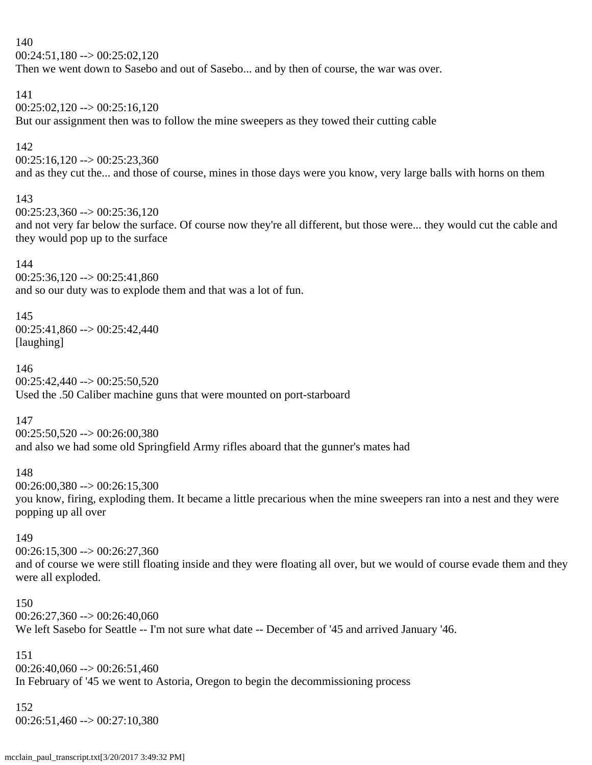$00:24:51,180 \rightarrow 00:25:02,120$ 

Then we went down to Sasebo and out of Sasebo... and by then of course, the war was over.

#### 141

 $00:25:02,120 \rightarrow 00:25:16,120$ But our assignment then was to follow the mine sweepers as they towed their cutting cable

#### 142

 $00:25:16,120 \rightarrow 00:25:23,360$ 

and as they cut the... and those of course, mines in those days were you know, very large balls with horns on them

#### 143

 $00:25:23,360 \rightarrow 00:25:36,120$ 

and not very far below the surface. Of course now they're all different, but those were... they would cut the cable and they would pop up to the surface

#### 144

 $00:25:36.120 \rightarrow 00:25:41.860$ and so our duty was to explode them and that was a lot of fun.

#### 145

00:25:41,860 --> 00:25:42,440 [laughing]

#### 146

 $00:25:42,440 \rightarrow 00:25:50,520$ Used the .50 Caliber machine guns that were mounted on port-starboard

#### 147

 $00:25:50,520 \rightarrow 00:26:00,380$ and also we had some old Springfield Army rifles aboard that the gunner's mates had

#### 148

 $00:26:00,380 \rightarrow 00:26:15,300$ 

you know, firing, exploding them. It became a little precarious when the mine sweepers ran into a nest and they were popping up all over

#### 149

 $00:26:15,300 \rightarrow 00:26:27,360$ and of course we were still floating inside and they were floating all over, but we would of course evade them and they were all exploded.

#### 150

 $00:26:27,360 \rightarrow 00:26:40,060$ We left Sasebo for Seattle -- I'm not sure what date -- December of '45 and arrived January '46.

#### 151

 $00:26:40,060 \rightarrow 00:26:51,460$ In February of '45 we went to Astoria, Oregon to begin the decommissioning process

# 152

00:26:51,460 --> 00:27:10,380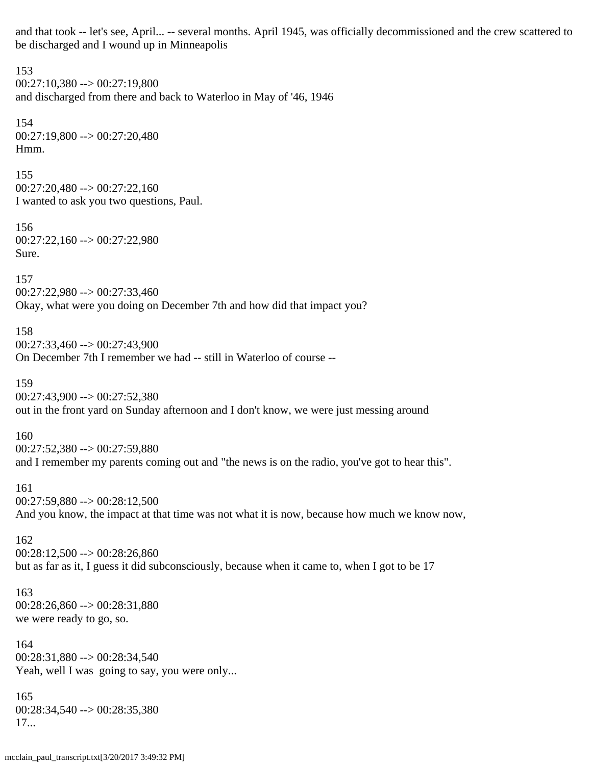and that took -- let's see, April... -- several months. April 1945, was officially decommissioned and the crew scattered to be discharged and I wound up in Minneapolis

153  $00:27:10,380 \rightarrow 00:27:19,800$ and discharged from there and back to Waterloo in May of '46, 1946 154 00:27:19,800 --> 00:27:20,480 Hmm. 155 00:27:20,480 --> 00:27:22,160 I wanted to ask you two questions, Paul. 156 00:27:22,160 --> 00:27:22,980 Sure. 157 00:27:22,980 --> 00:27:33,460 Okay, what were you doing on December 7th and how did that impact you? 158 00:27:33,460 --> 00:27:43,900 On December 7th I remember we had -- still in Waterloo of course -- 159  $00:27:43,900 \rightarrow 00:27:52,380$ out in the front yard on Sunday afternoon and I don't know, we were just messing around 160  $00:27:52,380 \rightarrow 00:27:59,880$ and I remember my parents coming out and "the news is on the radio, you've got to hear this". 161 00:27:59,880 --> 00:28:12,500 And you know, the impact at that time was not what it is now, because how much we know now, 162  $00:28:12,500 \rightarrow 00:28:26,860$ but as far as it, I guess it did subconsciously, because when it came to, when I got to be 17 163 00:28:26,860 --> 00:28:31,880 we were ready to go, so. 164  $00:28:31,880 \rightarrow 00:28:34,540$ Yeah, well I was going to say, you were only... 165 00:28:34,540 --> 00:28:35,380 17...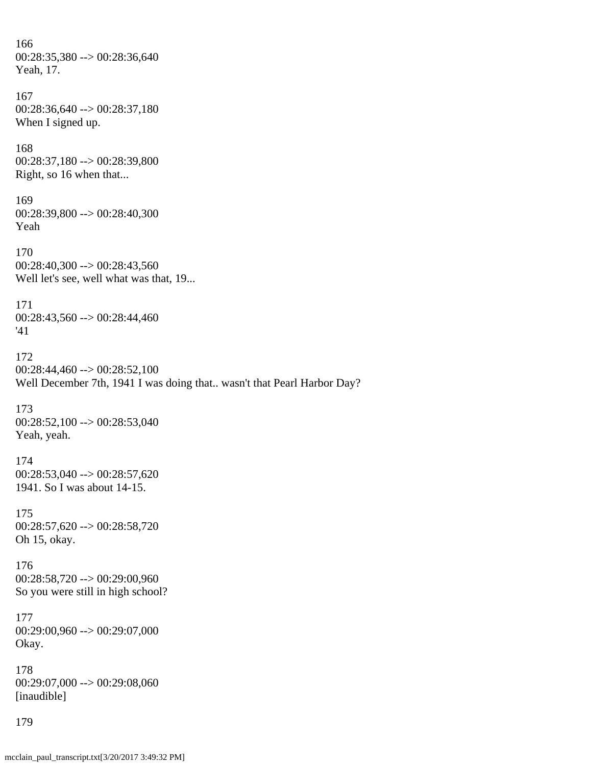166 00:28:35,380 --> 00:28:36,640 Yeah, 17. 167 00:28:36,640 --> 00:28:37,180 When I signed up. 168 00:28:37,180 --> 00:28:39,800 Right, so 16 when that... 169 00:28:39,800 --> 00:28:40,300 Yeah 170 00:28:40,300 --> 00:28:43,560 Well let's see, well what was that, 19... 171 00:28:43,560 --> 00:28:44,460 '41 172 00:28:44,460 --> 00:28:52,100 Well December 7th, 1941 I was doing that.. wasn't that Pearl Harbor Day? 173 00:28:52,100 --> 00:28:53,040 Yeah, yeah. 174 00:28:53,040 --> 00:28:57,620 1941. So I was about 14-15. 175 00:28:57,620 --> 00:28:58,720 Oh 15, okay. 176 00:28:58,720 --> 00:29:00,960 So you were still in high school? 177 00:29:00,960 --> 00:29:07,000 Okay. 178 00:29:07,000 --> 00:29:08,060 [inaudible] 179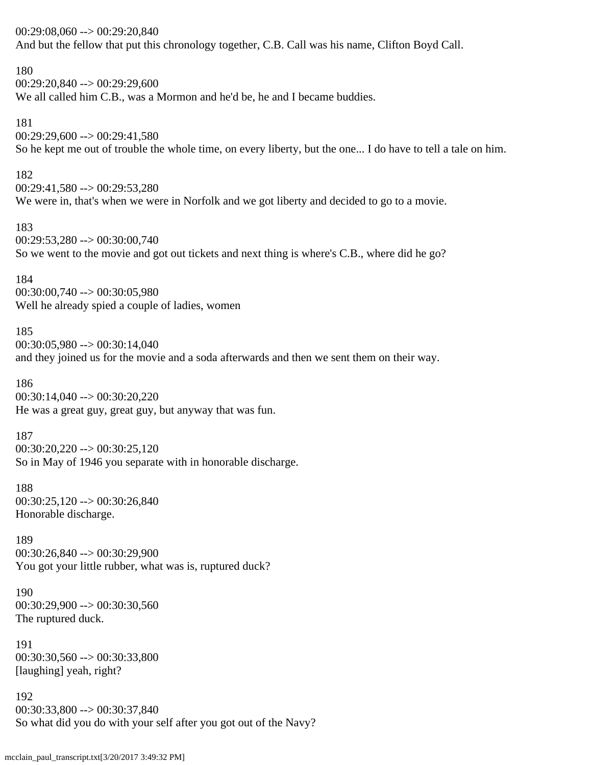| $00:29:08,060 \rightarrow 00:29:20,840$<br>And but the fellow that put this chronology together, C.B. Call was his name, Clifton Boyd Call.                   |
|---------------------------------------------------------------------------------------------------------------------------------------------------------------|
| 180<br>$00:29:20,840 \rightarrow 00:29:29,600$<br>We all called him C.B., was a Mormon and he'd be, he and I became buddies.                                  |
| 181<br>$00:29:29,600 \rightarrow 00:29:41,580$<br>So he kept me out of trouble the whole time, on every liberty, but the one I do have to tell a tale on him. |
| 182<br>$00:29:41,580 \rightarrow 00:29:53,280$<br>We were in, that's when we were in Norfolk and we got liberty and decided to go to a movie.                 |
| 183<br>$00:29:53,280 \rightarrow 00:30:00,740$<br>So we went to the movie and got out tickets and next thing is where's C.B., where did he go?                |
| 184<br>$00:30:00,740 \rightarrow 00:30:05,980$<br>Well he already spied a couple of ladies, women                                                             |
| 185<br>$00:30:05,980 \rightarrow 00:30:14,040$<br>and they joined us for the movie and a soda afterwards and then we sent them on their way.                  |
| 186<br>$00:30:14,040 \rightarrow 00:30:20,220$<br>He was a great guy, great guy, but anyway that was fun.                                                     |
| 187<br>$00:30:20,220 \rightarrow 00:30:25,120$<br>So in May of 1946 you separate with in honorable discharge.                                                 |
| 188<br>$00:30:25,120 \rightarrow 00:30:26,840$<br>Honorable discharge.                                                                                        |
| 189<br>$00:30:26,840 \rightarrow 00:30:29,900$<br>You got your little rubber, what was is, ruptured duck?                                                     |
| 190<br>$00:30:29,900 \rightarrow 00:30:30,560$<br>The ruptured duck.                                                                                          |
| 191<br>$00:30:30,560 \rightarrow 00:30:33,800$<br>[laughing] yeah, right?                                                                                     |
| 192<br>$00:30:33,800 \rightarrow 00:30:37,840$<br>So what did you do with your self after you got out of the Navy?                                            |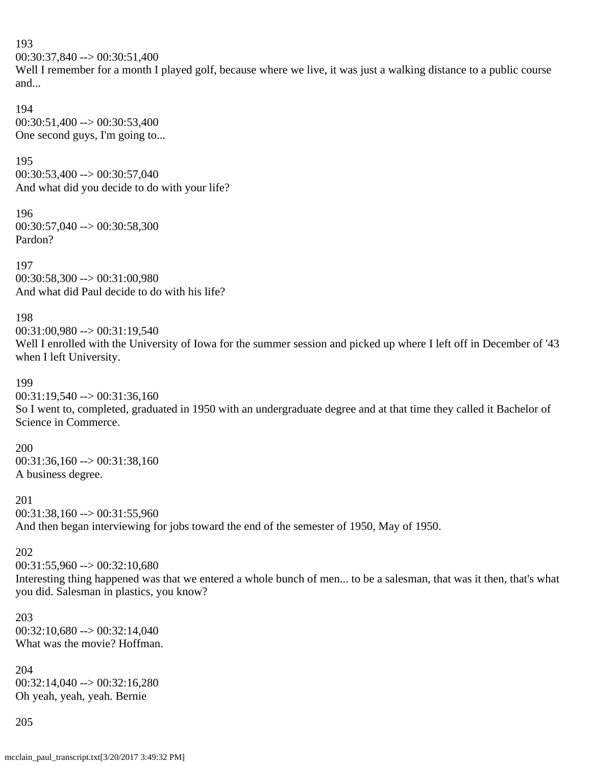00:30:37,840 --> 00:30:51,400 Well I remember for a month I played golf, because where we live, it was just a walking distance to a public course and... 194 00:30:51,400 --> 00:30:53,400 One second guys, I'm going to... 195 00:30:53,400 --> 00:30:57,040 And what did you decide to do with your life? 196 00:30:57,040 --> 00:30:58,300 Pardon? 197 00:30:58,300 --> 00:31:00,980 And what did Paul decide to do with his life? 198 00:31:00,980 --> 00:31:19,540 Well I enrolled with the University of Iowa for the summer session and picked up where I left off in December of '43 when I left University. 199  $00:31:19,540 \rightarrow 00:31:36,160$ So I went to, completed, graduated in 1950 with an undergraduate degree and at that time they called it Bachelor of Science in Commerce. 200 00:31:36,160 --> 00:31:38,160 A business degree. 201 00:31:38,160 --> 00:31:55,960 And then began interviewing for jobs toward the end of the semester of 1950, May of 1950. 202  $00:31:55.960 \rightarrow 00:32:10.680$ Interesting thing happened was that we entered a whole bunch of men... to be a salesman, that was it then, that's what you did. Salesman in plastics, you know? 203  $00:32:10,680 \rightarrow 00:32:14,040$ What was the movie? Hoffman. 204

 $00:32:14,040 \rightarrow 00:32:16,280$ Oh yeah, yeah, yeah. Bernie

205

193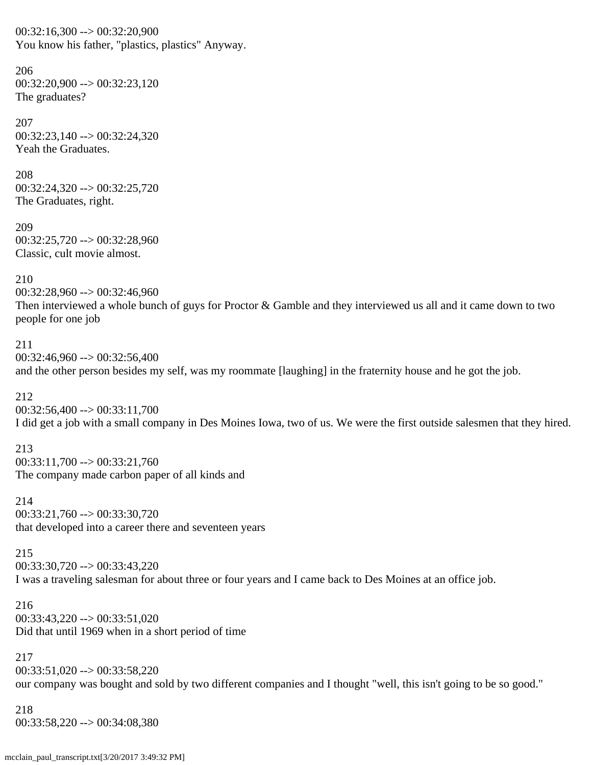$00:32:16,300 \rightarrow 00:32:20,900$ You know his father, "plastics, plastics" Anyway.

206 00:32:20,900 --> 00:32:23,120 The graduates?

207 00:32:23,140 --> 00:32:24,320 Yeah the Graduates.

208 00:32:24,320 --> 00:32:25,720 The Graduates, right.

209 00:32:25,720 --> 00:32:28,960 Classic, cult movie almost.

210

00:32:28,960 --> 00:32:46,960 Then interviewed a whole bunch of guys for Proctor & Gamble and they interviewed us all and it came down to two people for one job

211  $00:32:46,960 \rightarrow 00:32:56,400$ and the other person besides my self, was my roommate [laughing] in the fraternity house and he got the job.

212  $00:32:56,400 \rightarrow 00:33:11,700$ I did get a job with a small company in Des Moines Iowa, two of us. We were the first outside salesmen that they hired.

213 00:33:11,700 --> 00:33:21,760 The company made carbon paper of all kinds and

214 00:33:21,760 --> 00:33:30,720 that developed into a career there and seventeen years

215 00:33:30,720 --> 00:33:43,220 I was a traveling salesman for about three or four years and I came back to Des Moines at an office job.

216 00:33:43,220 --> 00:33:51,020 Did that until 1969 when in a short period of time

217  $00:33:51,020 \rightarrow 00:33:58,220$ our company was bought and sold by two different companies and I thought "well, this isn't going to be so good."

218 00:33:58,220 --> 00:34:08,380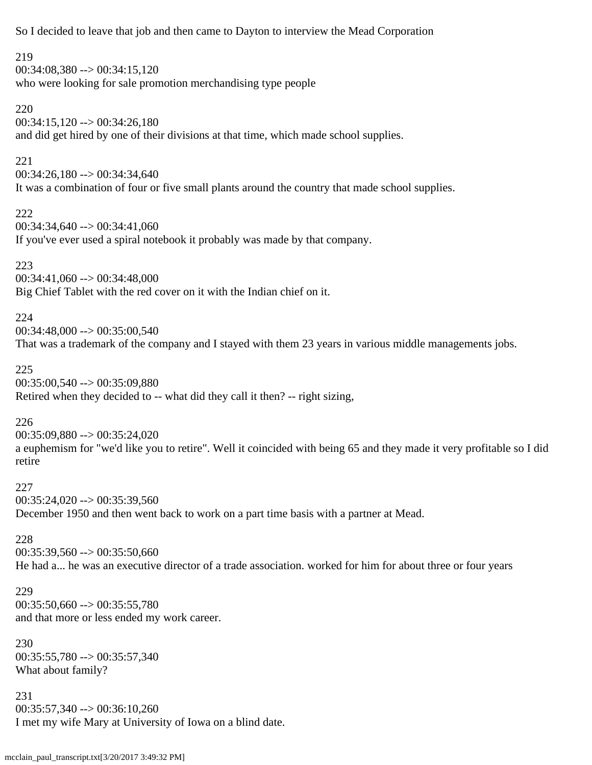So I decided to leave that job and then came to Dayton to interview the Mead Corporation

219 00:34:08,380 --> 00:34:15,120 who were looking for sale promotion merchandising type people

220

 $00:34:15,120 \rightarrow 00:34:26,180$ and did get hired by one of their divisions at that time, which made school supplies.

221

00:34:26,180 --> 00:34:34,640

It was a combination of four or five small plants around the country that made school supplies.

222

 $00:34:34,640 \rightarrow 00:34:41,060$ 

If you've ever used a spiral notebook it probably was made by that company.

223

00:34:41,060 --> 00:34:48,000

Big Chief Tablet with the red cover on it with the Indian chief on it.

224

 $00:34:48,000 \rightarrow 00:35:00.540$ 

That was a trademark of the company and I stayed with them 23 years in various middle managements jobs.

225

00:35:00,540 --> 00:35:09,880

Retired when they decided to -- what did they call it then? -- right sizing,

226

00:35:09,880 --> 00:35:24,020 a euphemism for "we'd like you to retire". Well it coincided with being 65 and they made it very profitable so I did retire

227

 $00:35:24,020 \rightarrow 00:35:39,560$ 

December 1950 and then went back to work on a part time basis with a partner at Mead.

228

00:35:39,560 --> 00:35:50,660

He had a... he was an executive director of a trade association. worked for him for about three or four years

229

00:35:50,660 --> 00:35:55,780 and that more or less ended my work career.

230 00:35:55,780 --> 00:35:57,340 What about family?

231  $00:35:57,340 \rightarrow 00:36:10,260$ I met my wife Mary at University of Iowa on a blind date.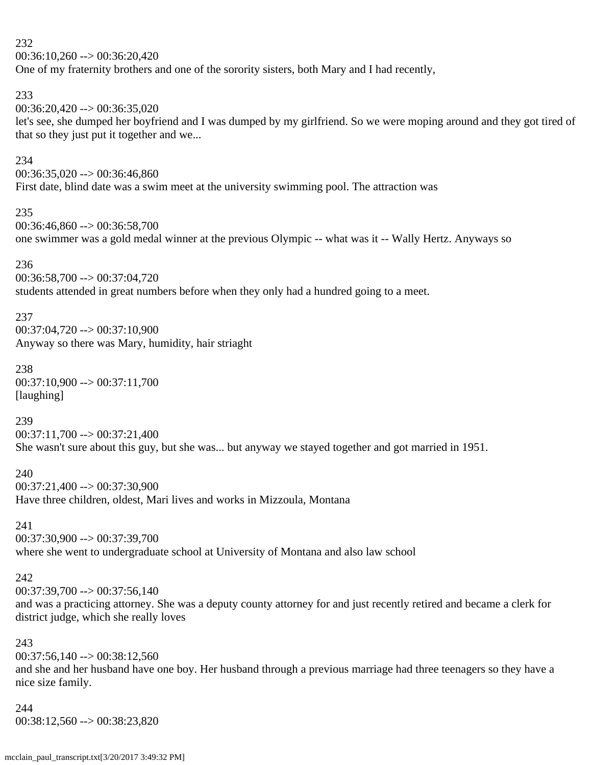$00:36:10,260 \rightarrow 00:36:20,420$ 

One of my fraternity brothers and one of the sorority sisters, both Mary and I had recently,

#### 233

 $00:36:20,420 \rightarrow 00:36:35,020$ 

let's see, she dumped her boyfriend and I was dumped by my girlfriend. So we were moping around and they got tired of that so they just put it together and we...

#### 234

 $00:36:35,020 \rightarrow 00:36:46,860$ First date, blind date was a swim meet at the university swimming pool. The attraction was

#### 235

00:36:46,860 --> 00:36:58,700 one swimmer was a gold medal winner at the previous Olympic -- what was it -- Wally Hertz. Anyways so

#### 236

00:36:58,700 --> 00:37:04,720 students attended in great numbers before when they only had a hundred going to a meet.

#### 237

00:37:04,720 --> 00:37:10,900 Anyway so there was Mary, humidity, hair striaght

# 238

00:37:10,900 --> 00:37:11,700 [laughing]

#### 239

 $00:37:11,700 \rightarrow 00:37:21,400$ She wasn't sure about this guy, but she was... but anyway we stayed together and got married in 1951.

#### 240

00:37:21,400 --> 00:37:30,900 Have three children, oldest, Mari lives and works in Mizzoula, Montana

#### 241

00:37:30,900 --> 00:37:39,700 where she went to undergraduate school at University of Montana and also law school

# 242

 $00:37:39.700 \rightarrow 00:37:56.140$ 

and was a practicing attorney. She was a deputy county attorney for and just recently retired and became a clerk for district judge, which she really loves

# 243

 $00:37:56,140 \rightarrow 00:38:12,560$ and she and her husband have one boy. Her husband through a previous marriage had three teenagers so they have a nice size family.

# 244

00:38:12,560 --> 00:38:23,820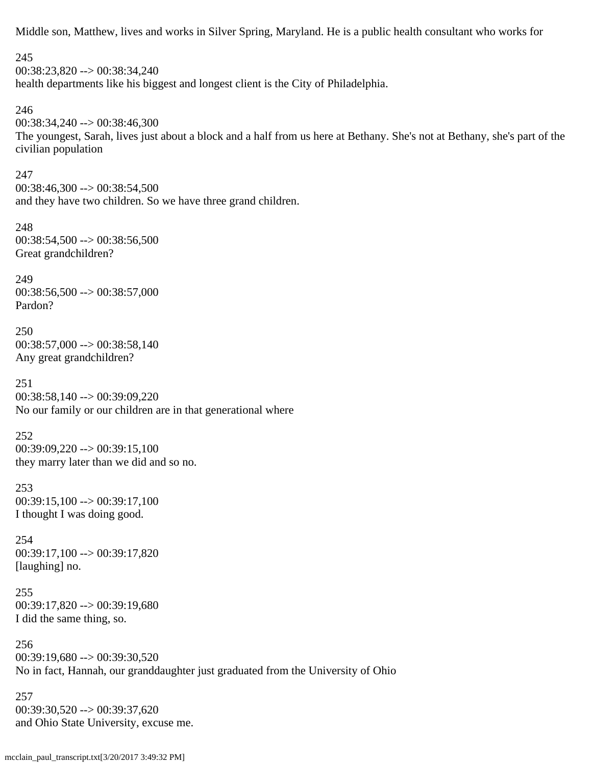Middle son, Matthew, lives and works in Silver Spring, Maryland. He is a public health consultant who works for

245

00:38:23,820 --> 00:38:34,240 health departments like his biggest and longest client is the City of Philadelphia. 246 00:38:34,240 --> 00:38:46,300

The youngest, Sarah, lives just about a block and a half from us here at Bethany. She's not at Bethany, she's part of the civilian population

247

 $00:38:46,300 \rightarrow 00:38:54,500$ and they have two children. So we have three grand children.

248  $00:38:54,500 \rightarrow 00:38:56,500$ Great grandchildren?

249  $00:38:56,500 \rightarrow 00:38:57,000$ Pardon?

250 00:38:57,000 --> 00:38:58,140 Any great grandchildren?

251 00:38:58,140 --> 00:39:09,220 No our family or our children are in that generational where

252 00:39:09,220 --> 00:39:15,100 they marry later than we did and so no.

253  $00:39:15,100 \rightarrow 00:39:17,100$ I thought I was doing good.

254 00:39:17,100 --> 00:39:17,820 [laughing] no.

255 00:39:17,820 --> 00:39:19,680 I did the same thing, so.

256  $00:39:19,680 \rightarrow 00:39:30,520$ No in fact, Hannah, our granddaughter just graduated from the University of Ohio

257 00:39:30,520 --> 00:39:37,620 and Ohio State University, excuse me.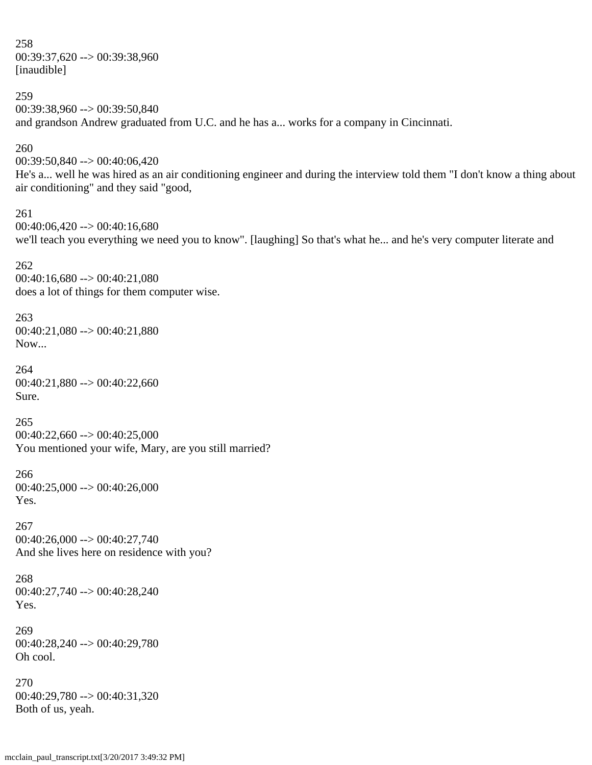258 00:39:37,620 --> 00:39:38,960 [inaudible]

259

 $00:39:38.960 \rightarrow 00:39:50.840$ and grandson Andrew graduated from U.C. and he has a... works for a company in Cincinnati.

#### 260

00:39:50,840 --> 00:40:06,420 He's a... well he was hired as an air conditioning engineer and during the interview told them "I don't know a thing about air conditioning" and they said "good,

261  $00:40:06,420 \rightarrow 00:40:16,680$ we'll teach you everything we need you to know". [laughing] So that's what he... and he's very computer literate and

262  $00:40:16,680 \rightarrow 00:40:21,080$ does a lot of things for them computer wise.

263 00:40:21,080 --> 00:40:21,880 Now...

264  $00:40:21,880 \rightarrow 00:40:22,660$ Sure.

265  $00:40:22,660 \rightarrow 00:40:25,000$ You mentioned your wife, Mary, are you still married?

266 00:40:25,000 --> 00:40:26,000 Yes.

267  $00:40:26,000 \rightarrow 00:40:27,740$ And she lives here on residence with you?

268 00:40:27,740 --> 00:40:28,240 Yes.

269 00:40:28,240 --> 00:40:29,780 Oh cool.

270 00:40:29,780 --> 00:40:31,320 Both of us, yeah.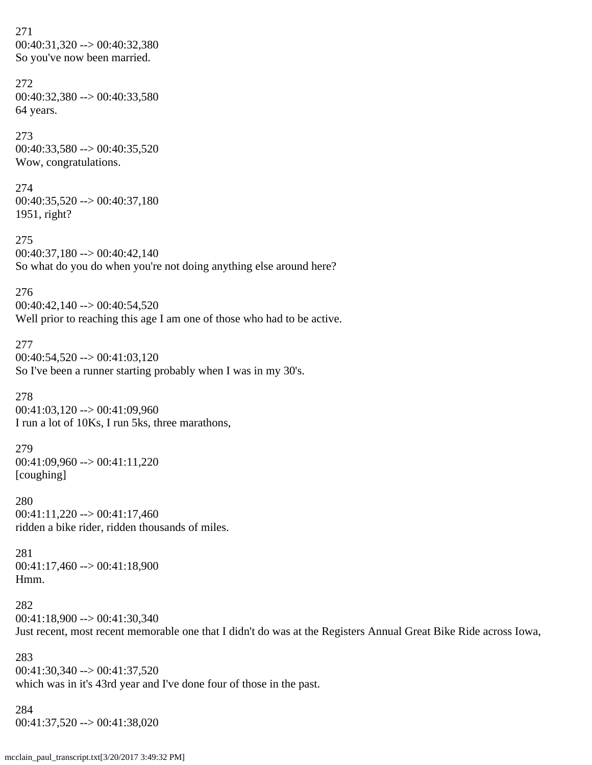271 00:40:31,320 --> 00:40:32,380 So you've now been married.

272 00:40:32,380 --> 00:40:33,580 64 years.

273  $00:40:33,580 \rightarrow 00:40:35,520$ Wow, congratulations.

274 00:40:35,520 --> 00:40:37,180 1951, right?

275  $00:40:37,180 \rightarrow 00:40:42,140$ So what do you do when you're not doing anything else around here?

276 00:40:42,140 --> 00:40:54,520 Well prior to reaching this age I am one of those who had to be active.

277  $00:40:54,520 \rightarrow 00:41:03,120$ So I've been a runner starting probably when I was in my 30's.

278 00:41:03,120 --> 00:41:09,960 I run a lot of 10Ks, I run 5ks, three marathons,

279 00:41:09,960 --> 00:41:11,220 [coughing]

280  $00:41:11,220 \rightarrow 00:41:17,460$ ridden a bike rider, ridden thousands of miles.

281  $00:41:17,460 \rightarrow 00:41:18,900$ Hmm.

282  $00:41:18,900 \rightarrow 00:41:30,340$ Just recent, most recent memorable one that I didn't do was at the Registers Annual Great Bike Ride across Iowa,

283  $00:41:30,340 \rightarrow 00:41:37,520$ which was in it's 43rd year and I've done four of those in the past.

284  $00:41:37,520 \rightarrow 00:41:38,020$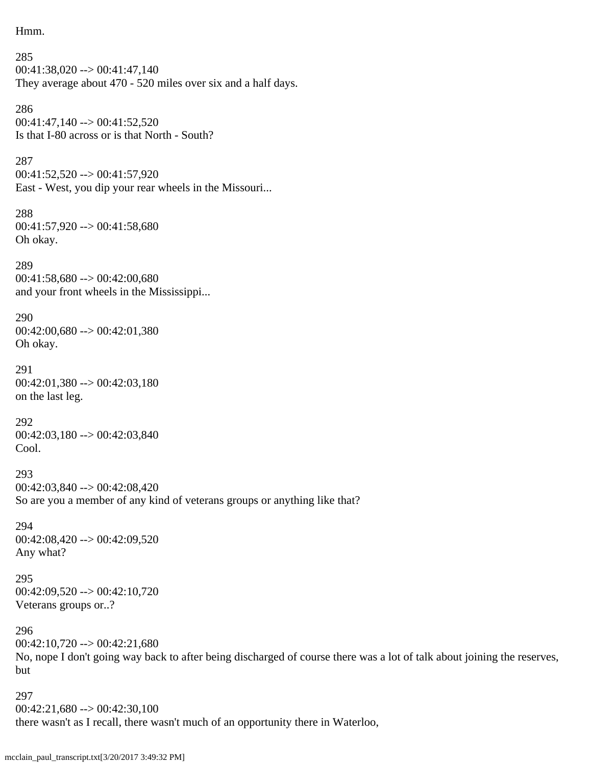```
Hmm.
```

```
285
00:41:38,020 --> 00:41:47,140
They average about 470 - 520 miles over six and a half days.
```

```
286
00:41:47,140 --> 00:41:52,520
Is that I-80 across or is that North - South?
```

```
00:41:52,520 --> 00:41:57,920
East - West, you dip your rear wheels in the Missouri...
```

```
288
00:41:57,920 --> 00:41:58,680
Oh okay.
```
289 00:41:58,680 --> 00:42:00,680 and your front wheels in the Mississippi...

290  $00:42:00,680 \rightarrow 00:42:01,380$ Oh okay.

```
291
00:42:01,380 \rightarrow 00:42:03,180on the last leg.
```
292 00:42:03,180 --> 00:42:03,840 Cool.

293 00:42:03,840 --> 00:42:08,420 So are you a member of any kind of veterans groups or anything like that?

294 00:42:08,420 --> 00:42:09,520 Any what?

295  $00:42:09,520 \rightarrow 00:42:10,720$ Veterans groups or..?

296  $00:42:10,720 \rightarrow 00:42:21,680$ No, nope I don't going way back to after being discharged of course there was a lot of talk about joining the reserves, but

297  $00:42:21,680 \rightarrow 00:42:30,100$ there wasn't as I recall, there wasn't much of an opportunity there in Waterloo,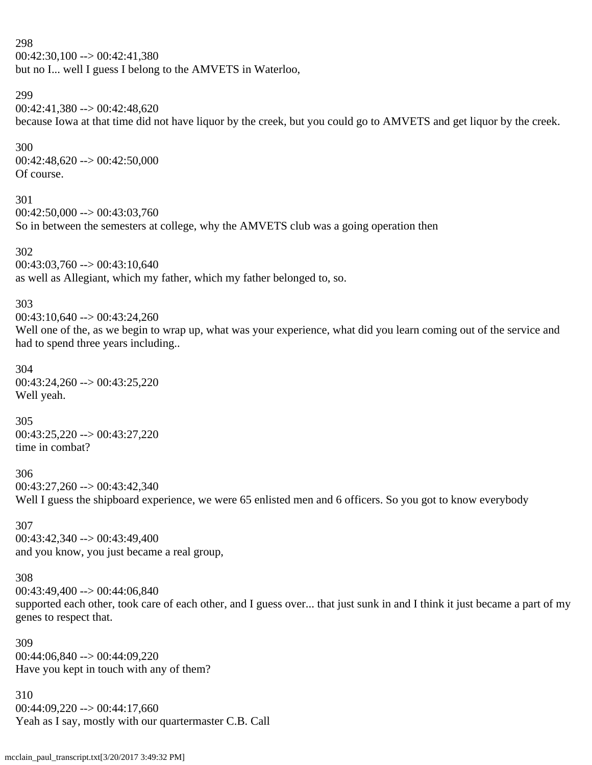$00:42:30,100 \rightarrow 00:42:41,380$ but no I... well I guess I belong to the AMVETS in Waterloo,

# 299

 $00:42:41,380 \rightarrow 00:42:48,620$ because Iowa at that time did not have liquor by the creek, but you could go to AMVETS and get liquor by the creek.

# 300

00:42:48,620 --> 00:42:50,000 Of course.

#### 301

 $00:42:50,000 \rightarrow 00:43:03,760$ So in between the semesters at college, why the AMVETS club was a going operation then

# 302

 $00:43:03,760 \rightarrow 00:43:10,640$ 

as well as Allegiant, which my father, which my father belonged to, so.

# 303

 $00:43:10,640 \rightarrow 00:43:24,260$ 

Well one of the, as we begin to wrap up, what was your experience, what did you learn coming out of the service and had to spend three years including..

#### 304 00:43:24,260 --> 00:43:25,220 Well yeah.

# 305 00:43:25,220 --> 00:43:27,220

time in combat?

# 306

 $00:43:27,260 \rightarrow 00:43:42,340$ Well I guess the shipboard experience, we were 65 enlisted men and 6 officers. So you got to know everybody

#### 307 00:43:42,340 --> 00:43:49,400 and you know, you just became a real group,

# 308

 $00:43:49.400 \rightarrow 00:44:06.840$ supported each other, took care of each other, and I guess over... that just sunk in and I think it just became a part of my genes to respect that.

309 00:44:06,840 --> 00:44:09,220 Have you kept in touch with any of them?

310  $00:44:09,220 \rightarrow 00:44:17,660$ Yeah as I say, mostly with our quartermaster C.B. Call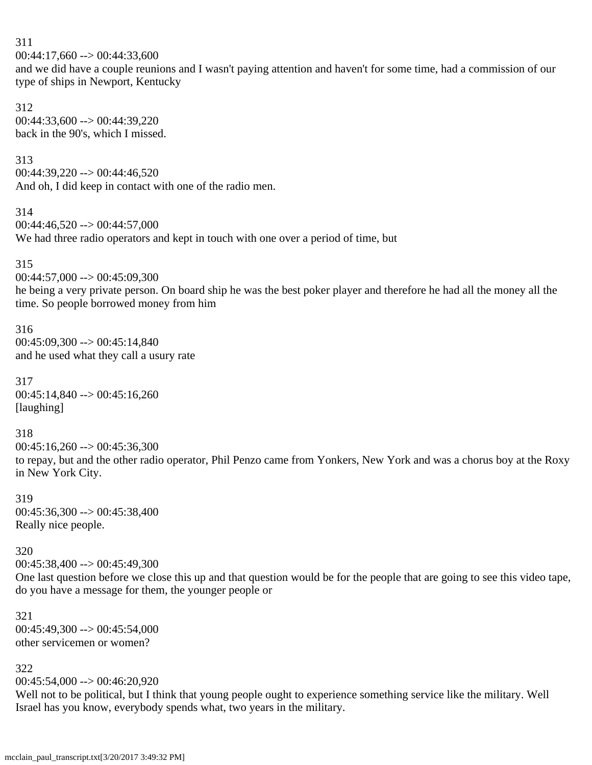311  $00:44:17,660 \rightarrow 00:44:33,600$ and we did have a couple reunions and I wasn't paying attention and haven't for some time, had a commission of our type of ships in Newport, Kentucky

312 00:44:33,600 --> 00:44:39,220 back in the 90's, which I missed.

313

 $00:44:39.220 \rightarrow 00:44:46.520$ And oh, I did keep in contact with one of the radio men.

314

 $00:44:46,520 \rightarrow 00:44:57,000$ We had three radio operators and kept in touch with one over a period of time, but

315

 $00:44:57,000 \rightarrow 00:45:09,300$ 

he being a very private person. On board ship he was the best poker player and therefore he had all the money all the time. So people borrowed money from him

316 00:45:09,300 --> 00:45:14,840 and he used what they call a usury rate

317 00:45:14,840 --> 00:45:16,260 [laughing]

318  $00:45:16,260 \rightarrow 00:45:36,300$ to repay, but and the other radio operator, Phil Penzo came from Yonkers, New York and was a chorus boy at the Roxy in New York City.

319 00:45:36,300 --> 00:45:38,400 Really nice people.

320

 $00:45:38,400 \rightarrow 00:45:49,300$ 

One last question before we close this up and that question would be for the people that are going to see this video tape, do you have a message for them, the younger people or

321  $00:45:49.300 \rightarrow 00:45:54.000$ other servicemen or women?

322

 $00:45:54,000 \rightarrow 00:46:20,920$ 

Well not to be political, but I think that young people ought to experience something service like the military. Well Israel has you know, everybody spends what, two years in the military.